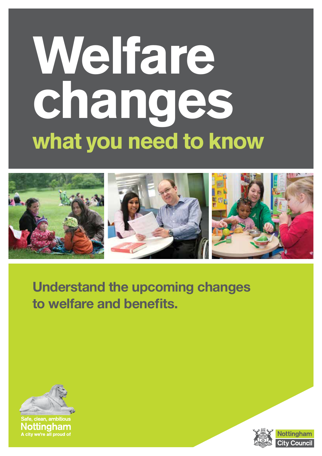# Welfare changes what you need to know



### **Understand the upcoming changes to welfare and benefits.**



afe, clean, ambitious Nottingham A city we're all proud of



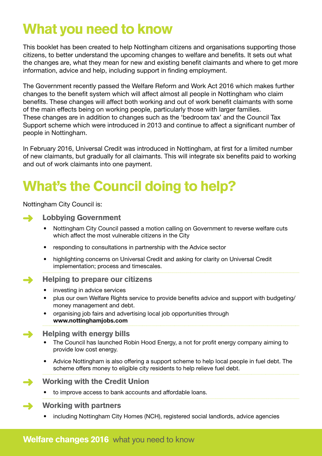### What you need to know

This booklet has been created to help Nottingham citizens and organisations supporting those citizens, to better understand the upcoming changes to welfare and benefits. It sets out what the changes are, what they mean for new and existing benefit claimants and where to get more information, advice and help, including support in finding employment.

The Government recently passed the Welfare Reform and Work Act 2016 which makes further changes to the benefit system which will affect almost all people in Nottingham who claim benefits. These changes will affect both working and out of work benefit claimants with some of the main effects being on working people, particularly those with larger families. These changes are in addition to changes such as the 'bedroom tax' and the Council Tax Support scheme which were introduced in 2013 and continue to affect a significant number of people in Nottingham.

In February 2016, Universal Credit was introduced in Nottingham, at first for a limited number of new claimants, but gradually for all claimants. This will integrate six benefits paid to working and out of work claimants into one payment.

### What's the Council doing to help?

Nottingham City Council is:



- Nottingham City Council passed a motion calling on Government to reverse welfare cuts which affect the most vulnerable citizens in the City
- responding to consultations in partnership with the Advice sector
- highlighting concerns on Universal Credit and asking for clarity on Universal Credit implementation; process and timescales.

#### Helping to prepare our citizens  $\rightarrow$

- investing in advice services
- plus our own Welfare Rights service to provide benefits advice and support with budgeting/ money management and debt.
- organising job fairs and advertising local job opportunities through **www.nottinghamjobs.com**

#### Helping with energy bills  $\rightarrow$

- The Council has launched Robin Hood Energy, a not for profit energy company aiming to provide low cost energy.
- Advice Nottingham is also offering a support scheme to help local people in fuel debt. The scheme offers money to eligible city residents to help relieve fuel debt.

### Working with the Credit Union

• to improve access to bank accounts and affordable loans.

#### Working with partners

• including Nottingham City Homes (NCH), registered social landlords, advice agencies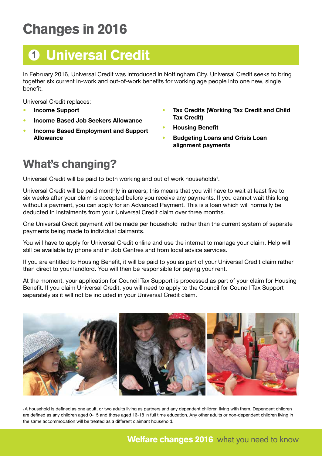# Changes in 2016



In February 2016, Universal Credit was introduced in Nottingham City. Universal Credit seeks to bring together six current in-work and out-of-work benefits for working age people into one new, single benefit.

Universal Credit replaces:

- **Income Support**
- **Income Based Job Seekers Allowance**
- **Income Based Employment and Support Allowance**
- **Tax Credits (Working Tax Credit and Child Tax Credit)**
- **Housing Benefit**
- **Budgeting Loans and Crisis Loan alignment payments**

### What's changing?

Universal Credit will be paid to both working and out of work households<sup>1</sup>.

Universal Credit will be paid monthly in arrears; this means that you will have to wait at least five to six weeks after your claim is accepted before you receive any payments. If you cannot wait this long without a payment, you can apply for an Advanced Payment. This is a loan which will normally be deducted in instalments from your Universal Credit claim over three months.

One Universal Credit payment will be made per household rather than the current system of separate payments being made to individual claimants.

You will have to apply for Universal Credit online and use the internet to manage your claim. Help will still be available by phone and in Job Centres and from local advice services.

If you are entitled to Housing Benefit, it will be paid to you as part of your Universal Credit claim rather than direct to your landlord. You will then be responsible for paying your rent.

At the moment, your application for Council Tax Support is processed as part of your claim for Housing Benefit. If you claim Universal Credit, you will need to apply to the Council for Council Tax Support separately as it will not be included in your Universal Credit claim.



1 A household is defined as one adult, or two adults living as partners and any dependent children living with them. Dependent children are defined as any children aged 0-15 and those aged 16-18 in full time education. Any other adults or non-dependent children living in the same accommodation will be treated as a different claimant household.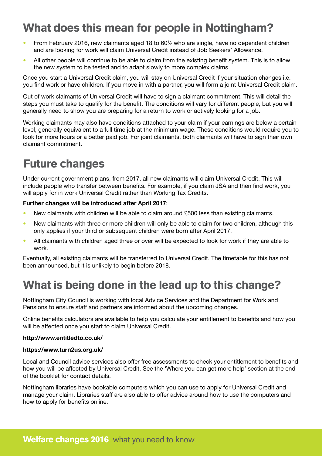### What does this mean for people in Nottingham?

- From February 2016, new claimants aged 18 to 60<sup>1</sup>/<sub>2</sub> who are single, have no dependent children and are looking for work will claim Universal Credit instead of Job Seekers' Allowance.
- All other people will continue to be able to claim from the existing benefit system. This is to allow the new system to be tested and to adapt slowly to more complex claims.

Once you start a Universal Credit claim, you will stay on Universal Credit if your situation changes i.e. you find work or have children. If you move in with a partner, you will form a joint Universal Credit claim.

Out of work claimants of Universal Credit will have to sign a claimant commitment. This will detail the steps you must take to qualify for the benefit. The conditions will vary for different people, but you will generally need to show you are preparing for a return to work or actively looking for a job.

Working claimants may also have conditions attached to your claim if your earnings are below a certain level, generally equivalent to a full time job at the minimum wage. These conditions would require you to look for more hours or a better paid job. For joint claimants, both claimants will have to sign their own claimant commitment.

### Future changes

Under current government plans, from 2017, all new claimants will claim Universal Credit. This will include people who transfer between benefits. For example, if you claim JSA and then find work, you will apply for in work Universal Credit rather than Working Tax Credits.

#### **Further changes will be introduced after April 2017**:

- New claimants with children will be able to claim around £500 less than existing claimants.
- New claimants with three or more children will only be able to claim for two children, although this only applies if your third or subsequent children were born after April 2017.
- All claimants with children aged three or over will be expected to look for work if they are able to work.

Eventually, all existing claimants will be transferred to Universal Credit. The timetable for this has not been announced, but it is unlikely to begin before 2018.

### What is being done in the lead up to this change?

Nottingham City Council is working with local Advice Services and the Department for Work and Pensions to ensure staff and partners are informed about the upcoming changes.

Online benefits calculators are available to help you calculate your entitlement to benefits and how you will be affected once you start to claim Universal Credit.

#### **http://www.entitledto.co.uk/**

#### **https://www.turn2us.org.uk/**

Local and Council advice services also offer free assessments to check your entitlement to benefits and how you will be affected by Universal Credit. See the 'Where you can get more help' section at the end of the booklet for contact details.

Nottingham libraries have bookable computers which you can use to apply for Universal Credit and manage your claim. Libraries staff are also able to offer advice around how to use the computers and how to apply for benefits online.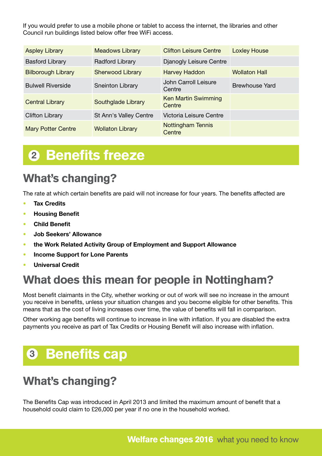If you would prefer to use a mobile phone or tablet to access the internet, the libraries and other Council run buildings listed below offer free WiFi access.

| <b>Aspley Library</b>     | <b>Meadows Library</b>    | <b>Clifton Leisure Centre</b>        | <b>Loxley House</b>   |
|---------------------------|---------------------------|--------------------------------------|-----------------------|
| <b>Basford Library</b>    | <b>Radford Library</b>    | Djanogly Leisure Centre              |                       |
| <b>Bilborough Library</b> | <b>Sherwood Library</b>   | <b>Harvey Haddon</b>                 | <b>Wollaton Hall</b>  |
| <b>Bulwell Riverside</b>  | <b>Sneinton Library</b>   | John Carroll Leisure<br>Centre       | <b>Brewhouse Yard</b> |
| <b>Central Library</b>    | <b>Southglade Library</b> | <b>Ken Martin Swimming</b><br>Centre |                       |
| <b>Clifton Library</b>    | St Ann's Valley Centre    | Victoria Leisure Centre              |                       |
| <b>Mary Potter Centre</b> | <b>Wollaton Library</b>   | <b>Nottingham Tennis</b><br>Centre   |                       |

### **<sup>2</sup>** Benefits freeze

### What's changing?

The rate at which certain benefits are paid will not increase for four years. The benefits affected are

- **Tax Credits**
- **Housing Benefit**
- **Child Benefit**
- **Job Seekers' Allowance**
- **the Work Related Activity Group of Employment and Support Allowance**
- **Income Support for Lone Parents**
- **Universal Credit**

### What does this mean for people in Nottingham?

Most benefit claimants in the City, whether working or out of work will see no increase in the amount you receive in benefits, unless your situation changes and you become eligible for other benefits. This means that as the cost of living increases over time, the value of benefits will fall in comparison.

Other working age benefits will continue to increase in line with inflation. If you are disabled the extra payments you receive as part of Tax Credits or Housing Benefit will also increase with inflation.

### **<sup>3</sup>** Benefits cap

### What's changing?

The Benefits Cap was introduced in April 2013 and limited the maximum amount of benefit that a household could claim to £26,000 per year if no one in the household worked.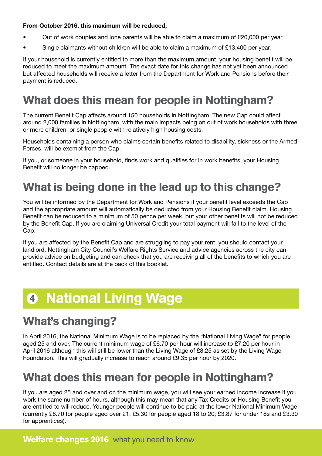#### **From October 2016, this maximum will be reduced,**

- Out of work couples and lone parents will be able to claim a maximum of £20,000 per year
- Single claimants without children will be able to claim a maximum of £13,400 per year.

If your household is currently entitled to more than the maximum amount, your housing benefit will be reduced to meet the maximum amount. The exact date for this change has not yet been announced but affected households will receive a letter from the Department for Work and Pensions before their payment is reduced.

### What does this mean for people in Nottingham?

The current Benefit Cap affects around 150 households in Nottingham. The new Cap could affect around 2,000 families in Nottingham, with the main impacts being on out of work households with three or more children, or single people with relatively high housing costs.

Households containing a person who claims certain benefits related to disability, sickness or the Armed Forces, will be exempt from the Cap.

If you, or someone in your household, finds work and qualifies for in work benefits, your Housing Benefit will no longer be capped.

### What is being done in the lead up to this change?

You will be informed by the Department for Work and Pensions if your benefit level exceeds the Cap and the appropriate amount will automatically be deducted from your Housing Benefit claim. Housing Benefit can be reduced to a minimum of 50 pence per week, but your other benefits will not be reduced by the Benefit Cap. If you are claiming Universal Credit your total payment will fall to the level of the Cap.

If you are affected by the Benefit Cap and are struggling to pay your rent, you should contact your landlord. Nottingham City Council's Welfare Rights Service and advice agencies across the city can provide advice on budgeting and can check that you are receiving all of the benefits to which you are entitled. Contact details are at the back of this booklet.

### **<sup>4</sup>** National Living Wage

### What's changing?

In April 2016, the National Minimum Wage is to be replaced by the "National Living Wage" for people aged 25 and over. The current minimum wage of £6.70 per hour will increase to £7.20 per hour in April 2016 although this will still be lower than the Living Wage of £8.25 as set by the Living Wage Foundation. This will gradually increase to reach around £9.35 per hour by 2020.

### What does this mean for people in Nottingham?

If you are aged 25 and over and on the minimum wage, you will see your earned income increase if you work the same number of hours, although this may mean that any Tax Credits or Housing Benefit you are entitled to will reduce. Younger people will continue to be paid at the lower National Minimum Wage (currently £6.70 for people aged over 21; £5.30 for people aged 18 to 20; £3.87 for under 18s and £3.30 for apprentices).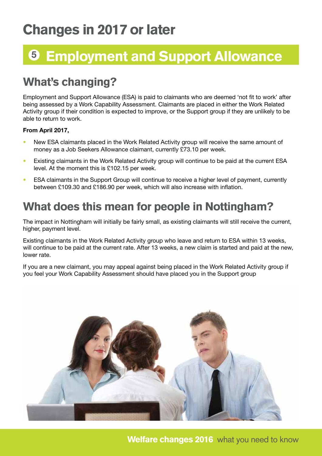### Changes in 2017 or later

# **<sup>5</sup>** Employment and Support Allowance

### What's changing?

Employment and Support Allowance (ESA) is paid to claimants who are deemed 'not fit to work' after being assessed by a Work Capability Assessment. Claimants are placed in either the Work Related Activity group if their condition is expected to improve, or the Support group if they are unlikely to be able to return to work.

#### **From April 2017,**

- New ESA claimants placed in the Work Related Activity group will receive the same amount of money as a Job Seekers Allowance claimant, currently £73.10 per week.
- Existing claimants in the Work Related Activity group will continue to be paid at the current ESA level. At the moment this is £102.15 per week.
- ESA claimants in the Support Group will continue to receive a higher level of payment, currently between £109.30 and £186.90 per week, which will also increase with inflation.

### What does this mean for people in Nottingham?

The impact in Nottingham will initially be fairly small, as existing claimants will still receive the current, higher, payment level.

Existing claimants in the Work Related Activity group who leave and return to ESA within 13 weeks, will continue to be paid at the current rate. After 13 weeks, a new claim is started and paid at the new, lower rate.

If you are a new claimant, you may appeal against being placed in the Work Related Activity group if you feel your Work Capability Assessment should have placed you in the Support group

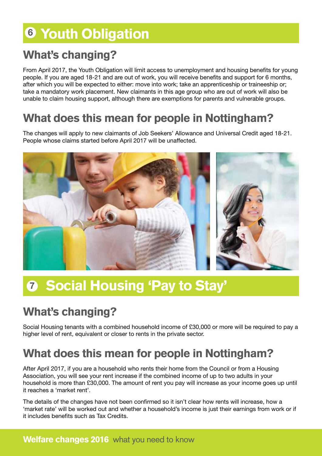## **<sup>6</sup>** Youth Obligation

### What's changing?

From April 2017, the Youth Obligation will limit access to unemployment and housing benefits for young people. If you are aged 18-21 and are out of work, you will receive benefits and support for 6 months, after which you will be expected to either: move into work; take an apprenticeship or traineeship or; take a mandatory work placement. New claimants in this age group who are out of work will also be unable to claim housing support, although there are exemptions for parents and vulnerable groups.

### What does this mean for people in Nottingham?

The changes will apply to new claimants of Job Seekers' Allowance and Universal Credit aged 18-21. People whose claims started before April 2017 will be unaffected.



# **<sup>7</sup>** Social Housing 'Pay to Stay'

### What's changing?

Social Housing tenants with a combined household income of £30,000 or more will be required to pay a higher level of rent, equivalent or closer to rents in the private sector.

### What does this mean for people in Nottingham?

After April 2017, if you are a household who rents their home from the Council or from a Housing Association, you will see your rent increase if the combined income of up to two adults in your household is more than £30,000. The amount of rent you pay will increase as your income goes up until it reaches a 'market rent'.

The details of the changes have not been confirmed so it isn't clear how rents will increase, how a 'market rate' will be worked out and whether a household's income is just their earnings from work or if it includes benefits such as Tax Credits.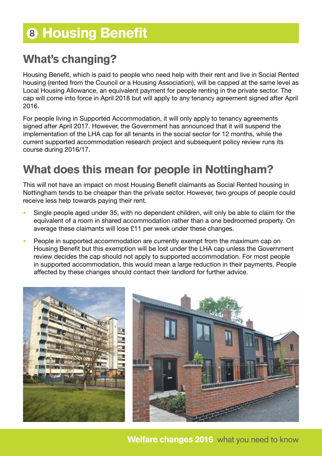### **<sup>8</sup>** Housing Benefit

### What's changing?

Housing Benefit, which is paid to people who need help with their rent and live in Social Rented housing (rented from the Council or a Housing Association), will be capped at the same level as Local Housing Allowance, an equivalent payment for people renting in the private sector. The cap will come into force in April 2018 but will apply to any tenancy agreement signed after April 2016.

For people living in Supported Accommodation, it will only apply to tenancy agreements signed after April 2017. However, the Government has announced that it will suspend the implementation of the LHA cap for all tenants in the social sector for 12 months, while the current supported accommodation research project and subsequent policy review runs its course during 2016/17.

### What does this mean for people in Nottingham?

This will not have an impact on most Housing Benefit claimants as Social Rented housing in Nottingham tends to be cheaper than the private sector. However, two groups of people could receive less help towards paying their rent.

- Single people aged under 35, with no dependent children, will only be able to claim for the equivalent of a room in shared accommodation rather than a one bedroomed property. On average these claimants will lose £11 per week under these changes.
- People in supported accommodation are currently exempt from the maximum cap on Housing Benefit but this exemption will be lost under the LHA cap unless the Government review decides the cap should not apply to supported accommodation. For most people in supported accommodation, this would mean a large reduction in their payments. People affected by these changes should contact their landlord for further advice.



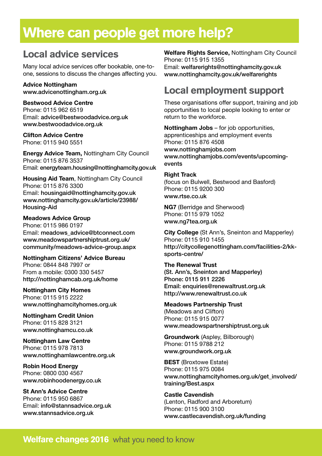### Where can people get more help?

### Local advice services

Many local advice services offer bookable, one-toone, sessions to discuss the changes affecting you.

**Advice Nottingham** www.advicenottingham.org.uk

**Bestwood Advice Centre**  Phone: 0115 962 6519 Email: advice@bestwoodadvice.org.uk www.bestwoodadvice.org.uk

**Clifton Advice Centre** Phone: 0115 940 5551

**Energy Advice Team,** Nottingham City Council Phone: 0115 876 3537 Email: energyteam.housing@nottinghamcity.gov.uk

**Housing Aid Team**, Nottingham City Council Phone: 0115 876 3300 Email: housingaid@nottinghamcity.gov.uk www.nottinghamcity.gov.uk/article/23988/ Housing-Aid

**Meadows Advice Group** Phone: 0115 986 0197 Email: meadows\_advice@btconnect.com www.meadowspartnershiptrust.org.uk/ community/meadows-advice-group.aspx

**Nottingham Citizens' Advice Bureau** Phone: 0844 848 7997 or From a mobile: 0300 330 5457 http://nottinghamcab.org.uk/home

**Nottingham City Homes** Phone: 0115 915 2222 www.nottinghamcityhomes.org.uk

**Nottingham Credit Union** Phone: 0115 828 3121 www.nottinghamcu.co.uk

**Nottingham Law Centre** Phone: 0115 978 7813 www.nottinghamlawcentre.org.uk

**Robin Hood Energy** Phone: 0800 030 4567 www.robinhoodenergy.co.uk

**St Ann's Advice Centre** Phone: 0115 950 6867 Email: info@stannsadvice.org.uk www.stannsadvice.org.uk

**Welfare Rights Service,** Nottingham City Council Phone: 0115 915 1355 Email: welfarerights@nottinghamcity.gov.uk www.nottinghamcity.gov.uk/welfarerights

### Local employment support

These organisations offer support, training and job opportunities to local people looking to enter or return to the workforce.

**Nottingham Jobs** – for job opportunities, apprenticeships and employment events Phone: 0115 876 4508 www.nottinghamjobs.com www.nottinghamjobs.com/events/upcomingevents

#### **Right Track**

(focus on Bulwell, Bestwood and Basford) Phone: 0115 9200 300 www.rtse.co.uk

**NG7** (Berridge and Sherwood) Phone: 0115 979 1052 www.ng7tea.org.uk

**City College** (St Ann's, Sneinton and Mapperley) Phone: 0115 910 1455 http://citycollegenottingham.com/facilities-2/kksports-centre/

**The Renewal Trust** 

(St. Ann's, Sneinton and Mapperley) Phone: 0115 911 2226 Email: enquiries@renewaltrust.org.uk http://www.renewaltrust.co.uk

**Meadows Partnership Trust** (Meadows and Clifton) Phone: 0115 915 0077 www.meadowspartnershiptrust.org.uk

**Groundwork** (Aspley, Bilborough) Phone: 0115 9788 212 www.groundwork.org.uk

**BEST** (Broxtowe Estate) Phone: 0115 975 0084 www.nottinghamcityhomes.org.uk/get\_involved/ training/Best.aspx

**Castle Cavendish**  (Lenton, Radford and Arboretum) Phone: 0115 900 3100 www.castlecavendish.org.uk/funding